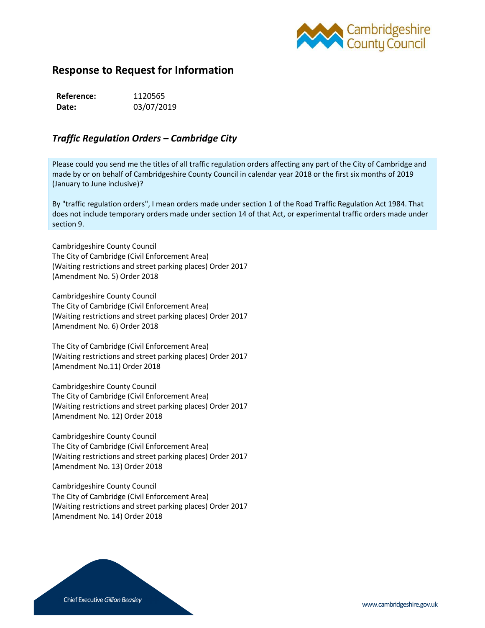

## **Response to Request for Information**

| Reference: | 1120565    |
|------------|------------|
| Date:      | 03/07/2019 |

## *Traffic Regulation Orders – Cambridge City*

Please could you send me the titles of all traffic regulation orders affecting any part of the City of Cambridge and made by or on behalf of Cambridgeshire County Council in calendar year 2018 or the first six months of 2019 (January to June inclusive)?

By "traffic regulation orders", I mean orders made under section 1 of the Road Traffic Regulation Act 1984. That does not include temporary orders made under section 14 of that Act, or experimental traffic orders made under section 9.

Cambridgeshire County Council The City of Cambridge (Civil Enforcement Area) (Waiting restrictions and street parking places) Order 2017 (Amendment No. 5) Order 2018

Cambridgeshire County Council The City of Cambridge (Civil Enforcement Area) (Waiting restrictions and street parking places) Order 2017 (Amendment No. 6) Order 2018

The City of Cambridge (Civil Enforcement Area) (Waiting restrictions and street parking places) Order 2017 (Amendment No.11) Order 2018

Cambridgeshire County Council The City of Cambridge (Civil Enforcement Area) (Waiting restrictions and street parking places) Order 2017 (Amendment No. 12) Order 2018

Cambridgeshire County Council The City of Cambridge (Civil Enforcement Area) (Waiting restrictions and street parking places) Order 2017 (Amendment No. 13) Order 2018

Cambridgeshire County Council The City of Cambridge (Civil Enforcement Area) (Waiting restrictions and street parking places) Order 2017 (Amendment No. 14) Order 2018

Chief Executive *Gillian Beasley* www.cambridgeshire.gov.uk